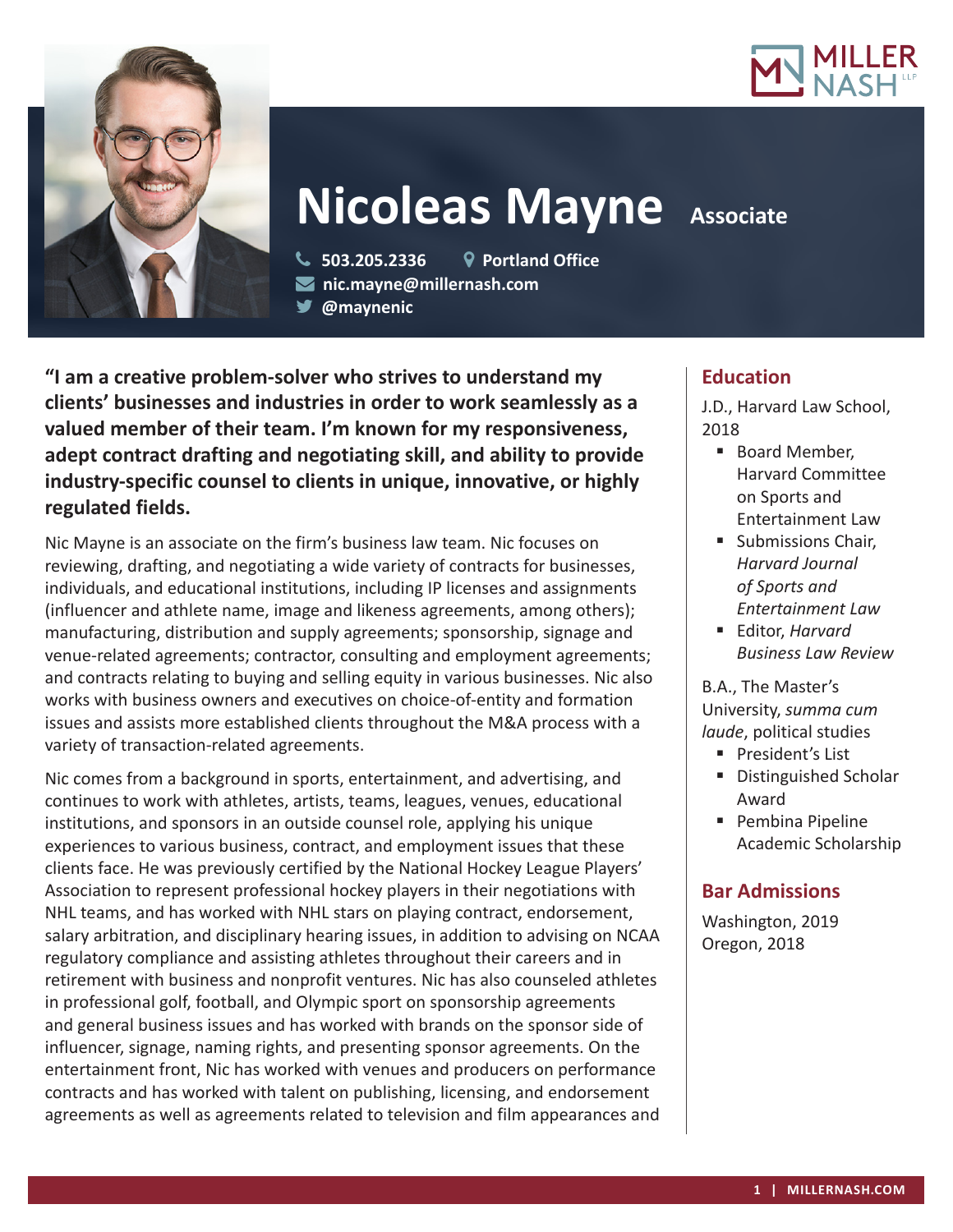



# **Nicoleas Mayne** Associate

 **503.205.2336 Portland Office nic.mayne@millernash.com** 

**@maynenic**

**"I am a creative problem-solver who strives to understand my clients' businesses and industries in order to work seamlessly as a valued member of their team. I'm known for my responsiveness, adept contract drafting and negotiating skill, and ability to provide industry-specific counsel to clients in unique, innovative, or highly regulated fields.**

Nic Mayne is an associate on the firm's business law team. Nic focuses on reviewing, drafting, and negotiating a wide variety of contracts for businesses, individuals, and educational institutions, including IP licenses and assignments (influencer and athlete name, image and likeness agreements, among others); manufacturing, distribution and supply agreements; sponsorship, signage and venue-related agreements; contractor, consulting and employment agreements; and contracts relating to buying and selling equity in various businesses. Nic also works with business owners and executives on choice-of-entity and formation issues and assists more established clients throughout the M&A process with a variety of transaction-related agreements.

Nic comes from a background in sports, entertainment, and advertising, and continues to work with athletes, artists, teams, leagues, venues, educational institutions, and sponsors in an outside counsel role, applying his unique experiences to various business, contract, and employment issues that these clients face. He was previously certified by the National Hockey League Players' Association to represent professional hockey players in their negotiations with NHL teams, and has worked with NHL stars on playing contract, endorsement, salary arbitration, and disciplinary hearing issues, in addition to advising on NCAA regulatory compliance and assisting athletes throughout their careers and in retirement with business and nonprofit ventures. Nic has also counseled athletes in professional golf, football, and Olympic sport on sponsorship agreements and general business issues and has worked with brands on the sponsor side of influencer, signage, naming rights, and presenting sponsor agreements. On the entertainment front, Nic has worked with venues and producers on performance contracts and has worked with talent on publishing, licensing, and endorsement agreements as well as agreements related to television and film appearances and

# **Education**

J.D., Harvard Law School, 2018

- Board Member, Harvard Committee on Sports and Entertainment Law
- **Submissions Chair,** *Harvard Journal of Sports and Entertainment Law*
- Editor, *Harvard Business Law Review*

B.A., The Master's University, *summa cum laude*, political studies

- **President's List**
- Distinguished Scholar Award
- **Pembina Pipeline** Academic Scholarship

# **Bar Admissions**

Washington, 2019 Oregon, 2018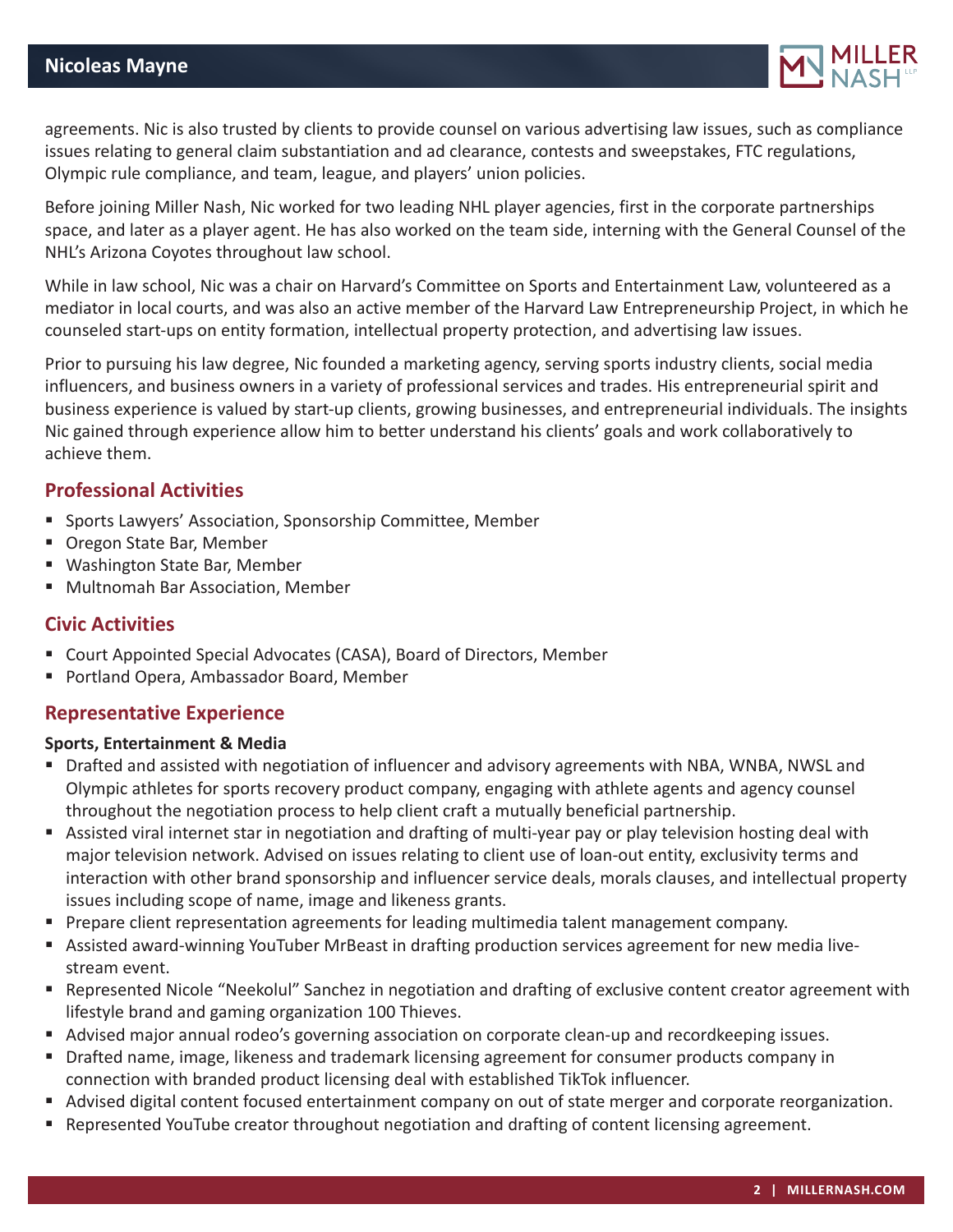

agreements. Nic is also trusted by clients to provide counsel on various advertising law issues, such as compliance issues relating to general claim substantiation and ad clearance, contests and sweepstakes, FTC regulations, Olympic rule compliance, and team, league, and players' union policies.

Before joining Miller Nash, Nic worked for two leading NHL player agencies, first in the corporate partnerships space, and later as a player agent. He has also worked on the team side, interning with the General Counsel of the NHL's Arizona Coyotes throughout law school.

While in law school, Nic was a chair on Harvard's Committee on Sports and Entertainment Law, volunteered as a mediator in local courts, and was also an active member of the Harvard Law Entrepreneurship Project, in which he counseled start-ups on entity formation, intellectual property protection, and advertising law issues.

Prior to pursuing his law degree, Nic founded a marketing agency, serving sports industry clients, social media influencers, and business owners in a variety of professional services and trades. His entrepreneurial spirit and business experience is valued by start-up clients, growing businesses, and entrepreneurial individuals. The insights Nic gained through experience allow him to better understand his clients' goals and work collaboratively to achieve them.

# **Professional Activities**

- **Sports Lawyers' Association, Sponsorship Committee, Member**
- Oregon State Bar, Member
- Washington State Bar, Member
- Multnomah Bar Association, Member

# **Civic Activities**

- Court Appointed Special Advocates (CASA), Board of Directors, Member
- Portland Opera, Ambassador Board, Member

# **Representative Experience**

#### **Sports, Entertainment & Media**

- Drafted and assisted with negotiation of influencer and advisory agreements with NBA, WNBA, NWSL and Olympic athletes for sports recovery product company, engaging with athlete agents and agency counsel throughout the negotiation process to help client craft a mutually beneficial partnership.
- Assisted viral internet star in negotiation and drafting of multi-year pay or play television hosting deal with major television network. Advised on issues relating to client use of loan-out entity, exclusivity terms and interaction with other brand sponsorship and influencer service deals, morals clauses, and intellectual property issues including scope of name, image and likeness grants.
- **Prepare client representation agreements for leading multimedia talent management company.**
- Assisted award-winning YouTuber MrBeast in drafting production services agreement for new media livestream event.
- Represented Nicole "Neekolul" Sanchez in negotiation and drafting of exclusive content creator agreement with lifestyle brand and gaming organization 100 Thieves.
- Advised major annual rodeo's governing association on corporate clean-up and recordkeeping issues.
- **Drafted name, image, likeness and trademark licensing agreement for consumer products company in** connection with branded product licensing deal with established TikTok influencer.
- Advised digital content focused entertainment company on out of state merger and corporate reorganization.
- **Represented YouTube creator throughout negotiation and drafting of content licensing agreement.**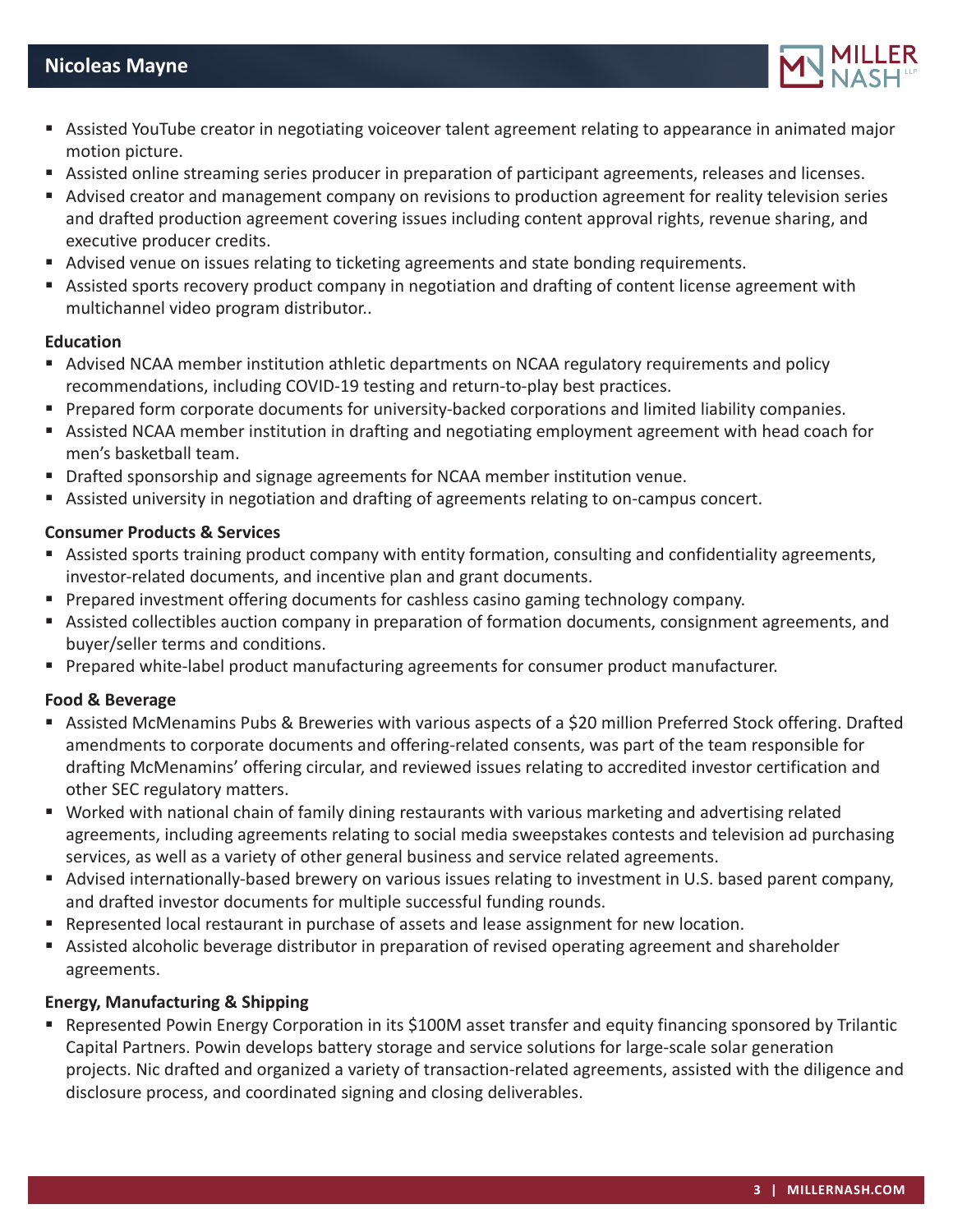

- Assisted YouTube creator in negotiating voiceover talent agreement relating to appearance in animated major motion picture.
- Assisted online streaming series producer in preparation of participant agreements, releases and licenses.
- Advised creator and management company on revisions to production agreement for reality television series and drafted production agreement covering issues including content approval rights, revenue sharing, and executive producer credits.
- Advised venue on issues relating to ticketing agreements and state bonding requirements.
- Assisted sports recovery product company in negotiation and drafting of content license agreement with multichannel video program distributor..

#### **Education**

- Advised NCAA member institution athletic departments on NCAA regulatory requirements and policy recommendations, including COVID-19 testing and return-to-play best practices.
- **Prepared form corporate documents for university-backed corporations and limited liability companies.**
- Assisted NCAA member institution in drafting and negotiating employment agreement with head coach for men's basketball team.
- **Drafted sponsorship and signage agreements for NCAA member institution venue.**
- Assisted university in negotiation and drafting of agreements relating to on-campus concert.

#### **Consumer Products & Services**

- Assisted sports training product company with entity formation, consulting and confidentiality agreements, investor-related documents, and incentive plan and grant documents.
- **Prepared investment offering documents for cashless casino gaming technology company.**
- Assisted collectibles auction company in preparation of formation documents, consignment agreements, and buyer/seller terms and conditions.
- **Prepared white-label product manufacturing agreements for consumer product manufacturer.**

#### **Food & Beverage**

- Assisted McMenamins Pubs & Breweries with various aspects of a \$20 million Preferred Stock offering. Drafted amendments to corporate documents and offering-related consents, was part of the team responsible for drafting McMenamins' offering circular, and reviewed issues relating to accredited investor certification and other SEC regulatory matters.
- Worked with national chain of family dining restaurants with various marketing and advertising related agreements, including agreements relating to social media sweepstakes contests and television ad purchasing services, as well as a variety of other general business and service related agreements.
- Advised internationally-based brewery on various issues relating to investment in U.S. based parent company, and drafted investor documents for multiple successful funding rounds.
- Represented local restaurant in purchase of assets and lease assignment for new location.
- Assisted alcoholic beverage distributor in preparation of revised operating agreement and shareholder agreements.

# **Energy, Manufacturing & Shipping**

 Represented Powin Energy Corporation in its \$100M asset transfer and equity financing sponsored by Trilantic Capital Partners. Powin develops battery storage and service solutions for large-scale solar generation projects. Nic drafted and organized a variety of transaction-related agreements, assisted with the diligence and disclosure process, and coordinated signing and closing deliverables.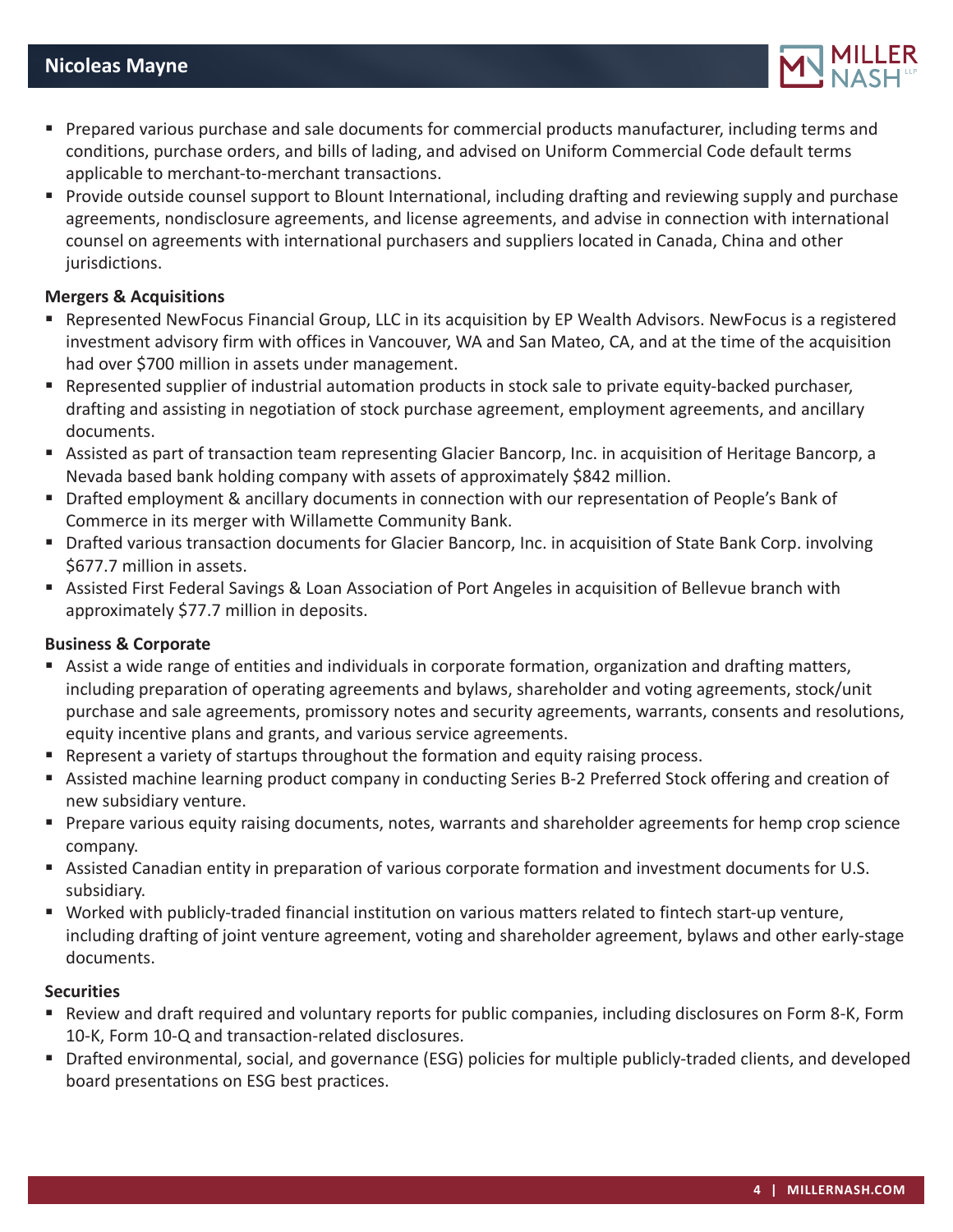

- **Prepared various purchase and sale documents for commercial products manufacturer, including terms and** conditions, purchase orders, and bills of lading, and advised on Uniform Commercial Code default terms applicable to merchant-to-merchant transactions.
- **Provide outside counsel support to Blount International, including drafting and reviewing supply and purchase** agreements, nondisclosure agreements, and license agreements, and advise in connection with international counsel on agreements with international purchasers and suppliers located in Canada, China and other jurisdictions.

#### **Mergers & Acquisitions**

- Represented NewFocus Financial Group, LLC in its acquisition by EP Wealth Advisors. NewFocus is a registered investment advisory firm with offices in Vancouver, WA and San Mateo, CA, and at the time of the acquisition had over \$700 million in assets under management.
- Represented supplier of industrial automation products in stock sale to private equity-backed purchaser, drafting and assisting in negotiation of stock purchase agreement, employment agreements, and ancillary documents.
- Assisted as part of transaction team representing Glacier Bancorp, Inc. in acquisition of Heritage Bancorp, a Nevada based bank holding company with assets of approximately \$842 million.
- Drafted employment & ancillary documents in connection with our representation of People's Bank of Commerce in its merger with Willamette Community Bank.
- Drafted various transaction documents for Glacier Bancorp, Inc. in acquisition of State Bank Corp. involving \$677.7 million in assets.
- Assisted First Federal Savings & Loan Association of Port Angeles in acquisition of Bellevue branch with approximately \$77.7 million in deposits.

#### **Business & Corporate**

- Assist a wide range of entities and individuals in corporate formation, organization and drafting matters, including preparation of operating agreements and bylaws, shareholder and voting agreements, stock/unit purchase and sale agreements, promissory notes and security agreements, warrants, consents and resolutions, equity incentive plans and grants, and various service agreements.
- **Represent a variety of startups throughout the formation and equity raising process.**
- Assisted machine learning product company in conducting Series B-2 Preferred Stock offering and creation of new subsidiary venture.
- Prepare various equity raising documents, notes, warrants and shareholder agreements for hemp crop science company.
- Assisted Canadian entity in preparation of various corporate formation and investment documents for U.S. subsidiary.
- Worked with publicly-traded financial institution on various matters related to fintech start-up venture, including drafting of joint venture agreement, voting and shareholder agreement, bylaws and other early-stage documents.

#### **Securities**

- Review and draft required and voluntary reports for public companies, including disclosures on Form 8-K, Form 10-K, Form 10-Q and transaction-related disclosures.
- Drafted environmental, social, and governance (ESG) policies for multiple publicly-traded clients, and developed board presentations on ESG best practices.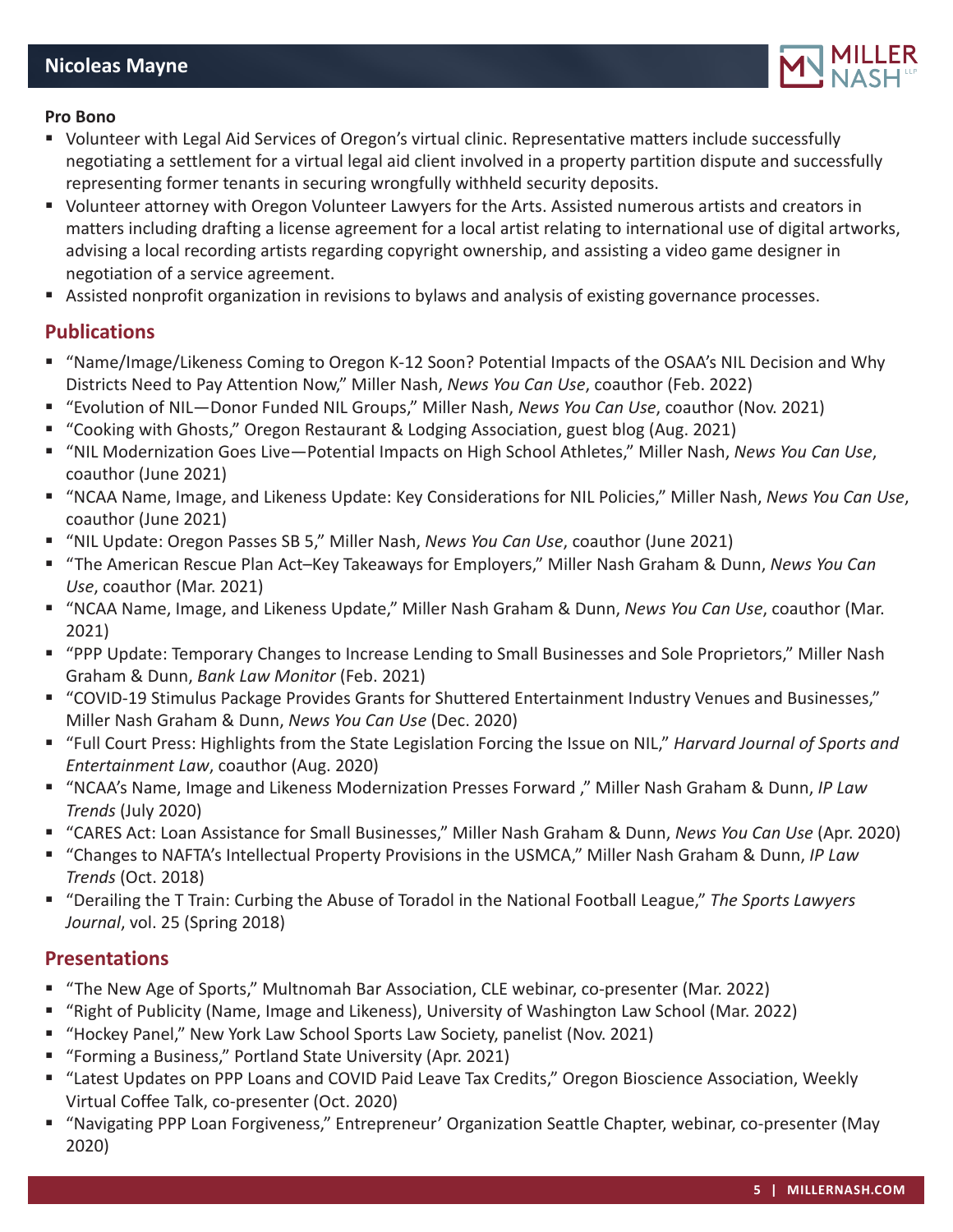

#### **Pro Bono**

- Volunteer with Legal Aid Services of Oregon's virtual clinic. Representative matters include successfully negotiating a settlement for a virtual legal aid client involved in a property partition dispute and successfully representing former tenants in securing wrongfully withheld security deposits.
- Volunteer attorney with Oregon Volunteer Lawyers for the Arts. Assisted numerous artists and creators in matters including drafting a license agreement for a local artist relating to international use of digital artworks, advising a local recording artists regarding copyright ownership, and assisting a video game designer in negotiation of a service agreement.
- Assisted nonprofit organization in revisions to bylaws and analysis of existing governance processes.

#### **Publications**

- "Name/Image/Likeness Coming to Oregon K-12 Soon? Potential Impacts of the OSAA's NIL Decision and Why Districts Need to Pay Attention Now," Miller Nash, *News You Can Use*, coauthor (Feb. 2022)
- "Evolution of NIL—Donor Funded NIL Groups," Miller Nash, *News You Can Use*, coauthor (Nov. 2021)
- "Cooking with Ghosts," Oregon Restaurant & Lodging Association, guest blog (Aug. 2021)
- "NIL Modernization Goes Live—Potential Impacts on High School Athletes," Miller Nash, *News You Can Use*, coauthor (June 2021)
- "NCAA Name, Image, and Likeness Update: Key Considerations for NIL Policies," Miller Nash, *News You Can Use*, coauthor (June 2021)
- "NIL Update: Oregon Passes SB 5," Miller Nash, *News You Can Use*, coauthor (June 2021)
- "The American Rescue Plan Act-Key Takeaways for Employers," Miller Nash Graham & Dunn, News You Can *Use*, coauthor (Mar. 2021)
- "NCAA Name, Image, and Likeness Update," Miller Nash Graham & Dunn, *News You Can Use*, coauthor (Mar. 2021)
- "PPP Update: Temporary Changes to Increase Lending to Small Businesses and Sole Proprietors," Miller Nash Graham & Dunn, *Bank Law Monitor* (Feb. 2021)
- "COVID-19 Stimulus Package Provides Grants for Shuttered Entertainment Industry Venues and Businesses," Miller Nash Graham & Dunn, *News You Can Use* (Dec. 2020)
- "Full Court Press: Highlights from the State Legislation Forcing the Issue on NIL," *Harvard Journal of Sports and Entertainment Law*, coauthor (Aug. 2020)
- "NCAA's Name, Image and Likeness Modernization Presses Forward ," Miller Nash Graham & Dunn, *IP Law Trends* (July 2020)
- "CARES Act: Loan Assistance for Small Businesses," Miller Nash Graham & Dunn, *News You Can Use* (Apr. 2020)
- "Changes to NAFTA's Intellectual Property Provisions in the USMCA," Miller Nash Graham & Dunn, *IP Law Trends* (Oct. 2018)
- "Derailing the T Train: Curbing the Abuse of Toradol in the National Football League," *The Sports Lawyers Journal*, vol. 25 (Spring 2018)

# **Presentations**

- "The New Age of Sports," Multnomah Bar Association, CLE webinar, co-presenter (Mar. 2022)
- "Right of Publicity (Name, Image and Likeness), University of Washington Law School (Mar. 2022)
- "Hockey Panel," New York Law School Sports Law Society, panelist (Nov. 2021)
- "Forming a Business," Portland State University (Apr. 2021)
- "Latest Updates on PPP Loans and COVID Paid Leave Tax Credits," Oregon Bioscience Association, Weekly Virtual Coffee Talk, co-presenter (Oct. 2020)
- "Navigating PPP Loan Forgiveness," Entrepreneur' Organization Seattle Chapter, webinar, co-presenter (May 2020)